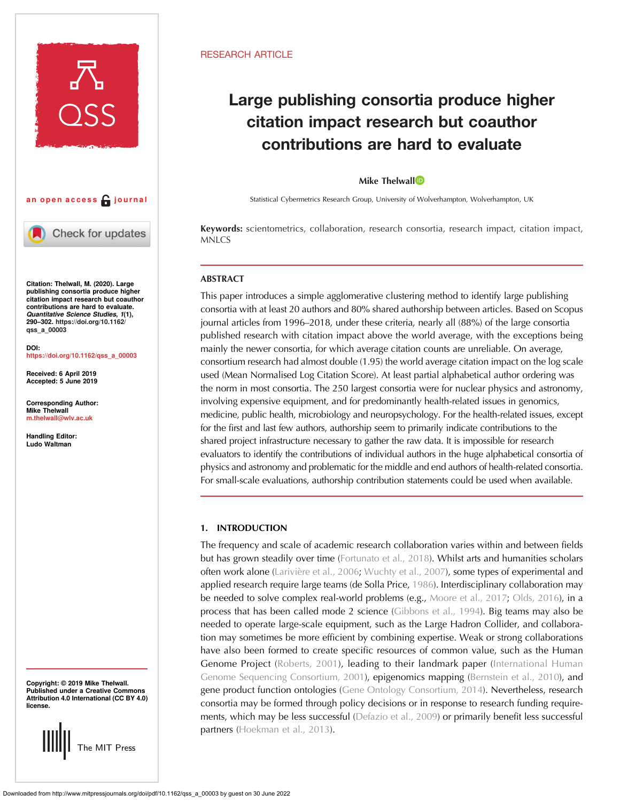



Check for updates

Citation: Thelwall, M. (2020). Large publishing consortia produce higher citation impact research but coauthor contributions are hard to evaluate. Quantitative Science Studies, 1(1), 290–302. [https://doi.org/10.1162/](https://doi.org/10.1162/qss_a_00003) [qss\\_a\\_00003](https://doi.org/10.1162/qss_a_00003)

DOI: [https://doi.org/10.1162/qss\\_a\\_00003](https://doi.org/10.1162/qss_a_00003)

Received: 6 April 2019 Accepted: 5 June 2019

Corresponding Author: Mike Thelwall [m.thelwall@wlv.ac.uk](mailto:m.thelwall@wlv.ac.uk)

Handling Editor: Ludo Waltman

Copyright: © 2019 Mike Thelwall. Published under a Creative Commons Attribution 4.0 International (CC BY 4.0) license.



# RESEARCH ARTICLE

# Large publishing consortia produce higher citation impact research but coauthor contributions are hard to evaluate

## Mike Thelwall<sup>ID</sup>

Statistical Cybermetrics Research Group, University of Wolverhampton, Wolverhampton, UK

Keywords: scientometrics, collaboration, research consortia, research impact, citation impact, MNLCS

# ABSTRACT

This paper introduces a simple agglomerative clustering method to identify large publishing consortia with at least 20 authors and 80% shared authorship between articles. Based on Scopus journal articles from 1996–2018, under these criteria, nearly all (88%) of the large consortia published research with citation impact above the world average, with the exceptions being mainly the newer consortia, for which average citation counts are unreliable. On average, consortium research had almost double (1.95) the world average citation impact on the log scale used (Mean Normalised Log Citation Score). At least partial alphabetical author ordering was the norm in most consortia. The 250 largest consortia were for nuclear physics and astronomy, involving expensive equipment, and for predominantly health-related issues in genomics, medicine, public health, microbiology and neuropsychology. For the health-related issues, except for the first and last few authors, authorship seem to primarily indicate contributions to the shared project infrastructure necessary to gather the raw data. It is impossible for research evaluators to identify the contributions of individual authors in the huge alphabetical consortia of physics and astronomy and problematic for the middle and end authors of health-related consortia. For small-scale evaluations, authorship contribution statements could be used when available.

# 1. INTRODUCTION

The frequency and scale of academic research collaboration varies within and between fields but has grown steadily over time [\(Fortunato et al., 2018](#page-11-0)). Whilst arts and humanities scholars often work alone [\(Larivière et al., 2006;](#page-12-0) [Wuchty et al., 2007](#page-12-0)), some types of experimental and applied research require large teams (de Solla Price, [1986](#page-11-0)). Interdisciplinary collaboration may be needed to solve complex real-world problems (e.g., [Moore et al., 2017;](#page-12-0) [Olds, 2016](#page-12-0)), in a process that has been called mode 2 science [\(Gibbons et al., 1994](#page-12-0)). Big teams may also be needed to operate large-scale equipment, such as the Large Hadron Collider, and collaboration may sometimes be more efficient by combining expertise. Weak or strong collaborations have also been formed to create specific resources of common value, such as the Human Genome Project ([Roberts, 2001](#page-12-0)), leading to their landmark paper [\(International Human](#page-12-0) [Genome Sequencing Consortium, 2001](#page-12-0)), epigenomics mapping [\(Bernstein et al., 2010](#page-11-0)), and gene product function ontologies ([Gene Ontology Consortium, 2014\)](#page-12-0). Nevertheless, research consortia may be formed through policy decisions or in response to research funding requirements, which may be less successful [\(Defazio et al., 2009](#page-11-0)) or primarily benefit less successful partners ([Hoekman et al., 2013\)](#page-12-0).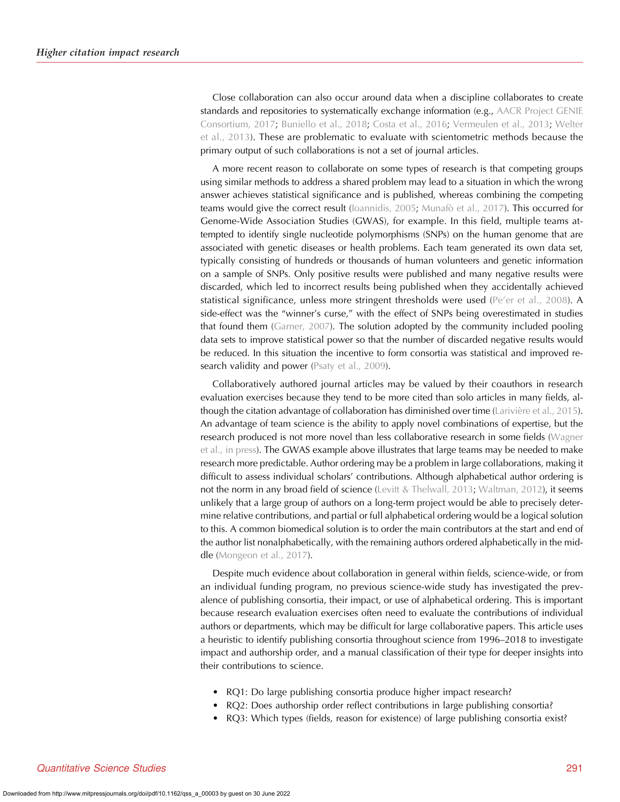Close collaboration can also occur around data when a discipline collaborates to create standards and repositories to systematically exchange information (e.g., [AACR Project GENIE](#page-11-0) [Consortium, 2017](#page-11-0); [Buniello et al., 2018;](#page-11-0) [Costa et al., 2016;](#page-11-0) [Vermeulen et al., 2013;](#page-12-0) [Welter](#page-12-0) [et al., 2013](#page-12-0)). These are problematic to evaluate with scientometric methods because the primary output of such collaborations is not a set of journal articles.

A more recent reason to collaborate on some types of research is that competing groups using similar methods to address a shared problem may lead to a situation in which the wrong answer achieves statistical significance and is published, whereas combining the competing teams would give the correct result [\(Ioannidis, 2005](#page-12-0); [Munafò et al., 2017](#page-12-0)). This occurred for Genome-Wide Association Studies (GWAS), for example. In this field, multiple teams attempted to identify single nucleotide polymorphisms (SNPs) on the human genome that are associated with genetic diseases or health problems. Each team generated its own data set, typically consisting of hundreds or thousands of human volunteers and genetic information on a sample of SNPs. Only positive results were published and many negative results were discarded, which led to incorrect results being published when they accidentally achieved statistical significance, unless more stringent thresholds were used (Pe'[er et al., 2008\)](#page-12-0). A side-effect was the "winner's curse," with the effect of SNPs being overestimated in studies that found them [\(Garner, 2007\)](#page-11-0). The solution adopted by the community included pooling data sets to improve statistical power so that the number of discarded negative results would be reduced. In this situation the incentive to form consortia was statistical and improved re-search validity and power ([Psaty et al., 2009\)](#page-12-0).

Collaboratively authored journal articles may be valued by their coauthors in research evaluation exercises because they tend to be more cited than solo articles in many fields, although the citation advantage of collaboration has diminished over time [\(Larivière et al., 2015\)](#page-12-0). An advantage of team science is the ability to apply novel combinations of expertise, but the research produced is not more novel than less collaborative research in some fields [\(Wagner](#page-12-0) [et al., in press](#page-12-0)). The GWAS example above illustrates that large teams may be needed to make research more predictable. Author ordering may be a problem in large collaborations, making it difficult to assess individual scholars' contributions. Although alphabetical author ordering is not the norm in any broad field of science ([Levitt & Thelwall, 2013;](#page-12-0) [Waltman, 2012\)](#page-12-0), it seems unlikely that a large group of authors on a long-term project would be able to precisely determine relative contributions, and partial or full alphabetical ordering would be a logical solution to this. A common biomedical solution is to order the main contributors at the start and end of the author list nonalphabetically, with the remaining authors ordered alphabetically in the mid-dle ([Mongeon et al., 2017\)](#page-12-0).

Despite much evidence about collaboration in general within fields, science-wide, or from an individual funding program, no previous science-wide study has investigated the prevalence of publishing consortia, their impact, or use of alphabetical ordering. This is important because research evaluation exercises often need to evaluate the contributions of individual authors or departments, which may be difficult for large collaborative papers. This article uses a heuristic to identify publishing consortia throughout science from 1996–2018 to investigate impact and authorship order, and a manual classification of their type for deeper insights into their contributions to science.

- RQ1: Do large publishing consortia produce higher impact research?
- RQ2: Does authorship order reflect contributions in large publishing consortia?
- RQ3: Which types (fields, reason for existence) of large publishing consortia exist?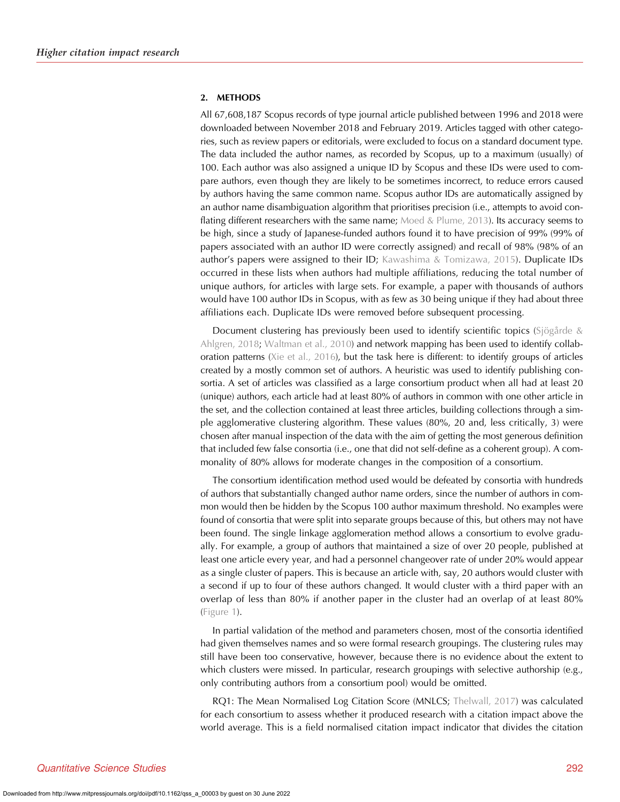#### 2. METHODS

All 67,608,187 Scopus records of type journal article published between 1996 and 2018 were downloaded between November 2018 and February 2019. Articles tagged with other categories, such as review papers or editorials, were excluded to focus on a standard document type. The data included the author names, as recorded by Scopus, up to a maximum (usually) of 100. Each author was also assigned a unique ID by Scopus and these IDs were used to compare authors, even though they are likely to be sometimes incorrect, to reduce errors caused by authors having the same common name. Scopus author IDs are automatically assigned by an author name disambiguation algorithm that prioritises precision (i.e., attempts to avoid conflating different researchers with the same name; [Moed & Plume, 2013\)](#page-12-0). Its accuracy seems to be high, since a study of Japanese-funded authors found it to have precision of 99% (99% of papers associated with an author ID were correctly assigned) and recall of 98% (98% of an author's papers were assigned to their ID; [Kawashima & Tomizawa, 2015](#page-12-0)). Duplicate IDs occurred in these lists when authors had multiple affiliations, reducing the total number of unique authors, for articles with large sets. For example, a paper with thousands of authors would have 100 author IDs in Scopus, with as few as 30 being unique if they had about three affiliations each. Duplicate IDs were removed before subsequent processing.

Document clustering has previously been used to identify scientific topics ([Sjögårde &](#page-12-0) [Ahlgren, 2018](#page-12-0); [Waltman et al., 2010](#page-12-0)) and network mapping has been used to identify collaboration patterns ([Xie et al., 2016](#page-12-0)), but the task here is different: to identify groups of articles created by a mostly common set of authors. A heuristic was used to identify publishing consortia. A set of articles was classified as a large consortium product when all had at least 20 (unique) authors, each article had at least 80% of authors in common with one other article in the set, and the collection contained at least three articles, building collections through a simple agglomerative clustering algorithm. These values (80%, 20 and, less critically, 3) were chosen after manual inspection of the data with the aim of getting the most generous definition that included few false consortia (i.e., one that did not self-define as a coherent group). A commonality of 80% allows for moderate changes in the composition of a consortium.

The consortium identification method used would be defeated by consortia with hundreds of authors that substantially changed author name orders, since the number of authors in common would then be hidden by the Scopus 100 author maximum threshold. No examples were found of consortia that were split into separate groups because of this, but others may not have been found. The single linkage agglomeration method allows a consortium to evolve gradually. For example, a group of authors that maintained a size of over 20 people, published at least one article every year, and had a personnel changeover rate of under 20% would appear as a single cluster of papers. This is because an article with, say, 20 authors would cluster with a second if up to four of these authors changed. It would cluster with a third paper with an overlap of less than 80% if another paper in the cluster had an overlap of at least 80% ([Figure 1](#page-3-0)).

In partial validation of the method and parameters chosen, most of the consortia identified had given themselves names and so were formal research groupings. The clustering rules may still have been too conservative, however, because there is no evidence about the extent to which clusters were missed. In particular, research groupings with selective authorship (e.g., only contributing authors from a consortium pool) would be omitted.

RQ1: The Mean Normalised Log Citation Score (MNLCS; [Thelwall, 2017](#page-12-0)) was calculated for each consortium to assess whether it produced research with a citation impact above the world average. This is a field normalised citation impact indicator that divides the citation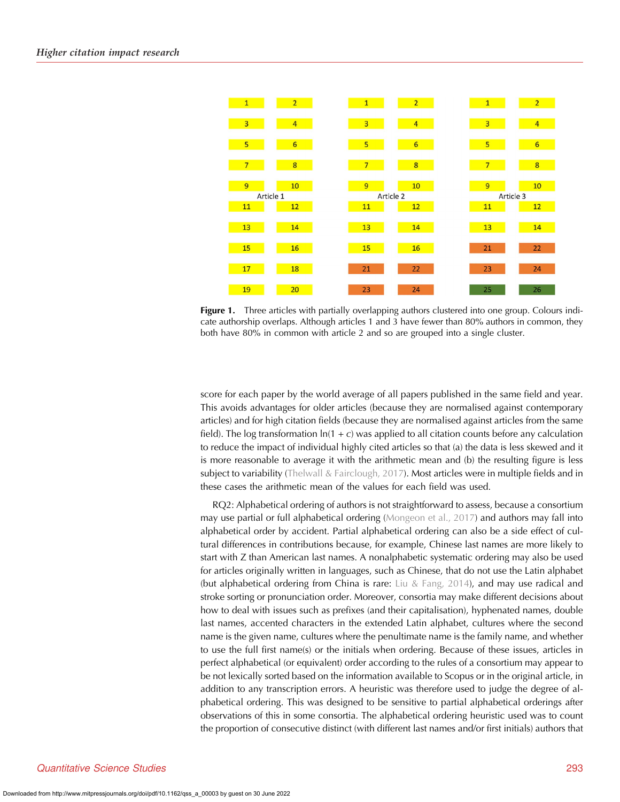<span id="page-3-0"></span>

Figure 1. Three articles with partially overlapping authors clustered into one group. Colours indicate authorship overlaps. Although articles 1 and 3 have fewer than 80% authors in common, they both have 80% in common with article 2 and so are grouped into a single cluster.

score for each paper by the world average of all papers published in the same field and year. This avoids advantages for older articles (because they are normalised against contemporary articles) and for high citation fields (because they are normalised against articles from the same field). The log transformation  $\ln(1 + c)$  was applied to all citation counts before any calculation to reduce the impact of individual highly cited articles so that (a) the data is less skewed and it is more reasonable to average it with the arithmetic mean and (b) the resulting figure is less subject to variability ([Thelwall & Fairclough, 2017\)](#page-12-0). Most articles were in multiple fields and in these cases the arithmetic mean of the values for each field was used.

RQ2: Alphabetical ordering of authors is not straightforward to assess, because a consortium may use partial or full alphabetical ordering [\(Mongeon et al., 2017](#page-12-0)) and authors may fall into alphabetical order by accident. Partial alphabetical ordering can also be a side effect of cultural differences in contributions because, for example, Chinese last names are more likely to start with Z than American last names. A nonalphabetic systematic ordering may also be used for articles originally written in languages, such as Chinese, that do not use the Latin alphabet (but alphabetical ordering from China is rare: [Liu & Fang, 2014\)](#page-12-0), and may use radical and stroke sorting or pronunciation order. Moreover, consortia may make different decisions about how to deal with issues such as prefixes (and their capitalisation), hyphenated names, double last names, accented characters in the extended Latin alphabet, cultures where the second name is the given name, cultures where the penultimate name is the family name, and whether to use the full first name(s) or the initials when ordering. Because of these issues, articles in perfect alphabetical (or equivalent) order according to the rules of a consortium may appear to be not lexically sorted based on the information available to Scopus or in the original article, in addition to any transcription errors. A heuristic was therefore used to judge the degree of alphabetical ordering. This was designed to be sensitive to partial alphabetical orderings after observations of this in some consortia. The alphabetical ordering heuristic used was to count the proportion of consecutive distinct (with different last names and/or first initials) authors that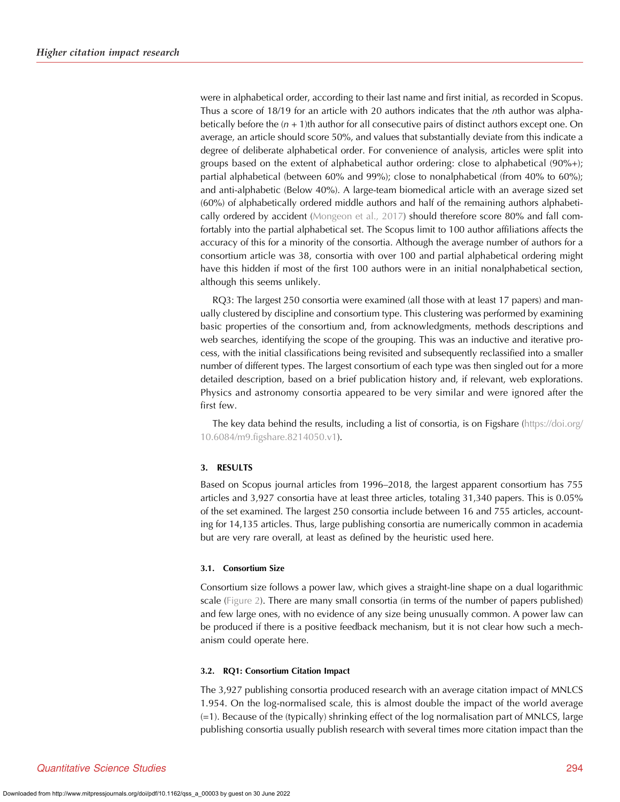were in alphabetical order, according to their last name and first initial, as recorded in Scopus. Thus a score of 18/19 for an article with 20 authors indicates that the nth author was alphabetically before the  $(n + 1)$ th author for all consecutive pairs of distinct authors except one. On average, an article should score 50%, and values that substantially deviate from this indicate a degree of deliberate alphabetical order. For convenience of analysis, articles were split into groups based on the extent of alphabetical author ordering: close to alphabetical (90%+); partial alphabetical (between 60% and 99%); close to nonalphabetical (from 40% to 60%); and anti-alphabetic (Below 40%). A large-team biomedical article with an average sized set (60%) of alphabetically ordered middle authors and half of the remaining authors alphabetically ordered by accident ([Mongeon et al., 2017](#page-12-0)) should therefore score 80% and fall comfortably into the partial alphabetical set. The Scopus limit to 100 author affiliations affects the accuracy of this for a minority of the consortia. Although the average number of authors for a consortium article was 38, consortia with over 100 and partial alphabetical ordering might have this hidden if most of the first 100 authors were in an initial nonalphabetical section, although this seems unlikely.

RQ3: The largest 250 consortia were examined (all those with at least 17 papers) and manually clustered by discipline and consortium type. This clustering was performed by examining basic properties of the consortium and, from acknowledgments, methods descriptions and web searches, identifying the scope of the grouping. This was an inductive and iterative process, with the initial classifications being revisited and subsequently reclassified into a smaller number of different types. The largest consortium of each type was then singled out for a more detailed description, based on a brief publication history and, if relevant, web explorations. Physics and astronomy consortia appeared to be very similar and were ignored after the first few.

The key data behind the results, including a list of consortia, is on Figshare ([https://doi.org/](https://doi.org/10.6084/m9.figshare.8214050.v1) [10.6084/m9.figshare.8214050.v1](https://doi.org/10.6084/m9.figshare.8214050.v1)).

#### 3. RESULTS

Based on Scopus journal articles from 1996–2018, the largest apparent consortium has 755 articles and 3,927 consortia have at least three articles, totaling 31,340 papers. This is 0.05% of the set examined. The largest 250 consortia include between 16 and 755 articles, accounting for 14,135 articles. Thus, large publishing consortia are numerically common in academia but are very rare overall, at least as defined by the heuristic used here.

#### 3.1. Consortium Size

Consortium size follows a power law, which gives a straight-line shape on a dual logarithmic scale ([Figure 2\)](#page-5-0). There are many small consortia (in terms of the number of papers published) and few large ones, with no evidence of any size being unusually common. A power law can be produced if there is a positive feedback mechanism, but it is not clear how such a mechanism could operate here.

#### 3.2. RQ1: Consortium Citation Impact

The 3,927 publishing consortia produced research with an average citation impact of MNLCS 1.954. On the log-normalised scale, this is almost double the impact of the world average (=1). Because of the (typically) shrinking effect of the log normalisation part of MNLCS, large publishing consortia usually publish research with several times more citation impact than the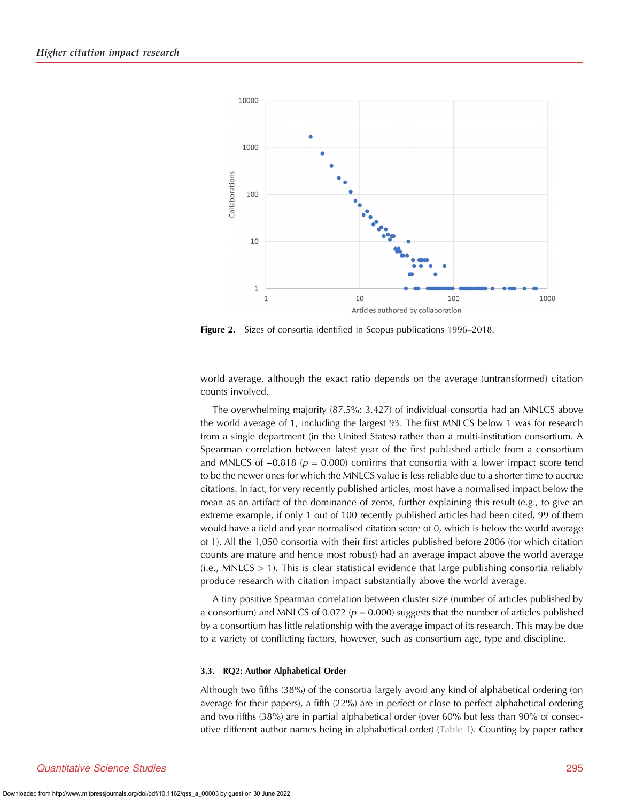<span id="page-5-0"></span>

Figure 2. Sizes of consortia identified in Scopus publications 1996-2018.

world average, although the exact ratio depends on the average (untransformed) citation counts involved.

The overwhelming majority (87.5%: 3,427) of individual consortia had an MNLCS above the world average of 1, including the largest 93. The first MNLCS below 1 was for research from a single department (in the United States) rather than a multi-institution consortium. A Spearman correlation between latest year of the first published article from a consortium and MNLCS of  $-0.818$  ( $p = 0.000$ ) confirms that consortia with a lower impact score tend to be the newer ones for which the MNLCS value is less reliable due to a shorter time to accrue citations. In fact, for very recently published articles, most have a normalised impact below the mean as an artifact of the dominance of zeros, further explaining this result (e.g., to give an extreme example, if only 1 out of 100 recently published articles had been cited, 99 of them would have a field and year normalised citation score of 0, which is below the world average of 1). All the 1,050 consortia with their first articles published before 2006 (for which citation counts are mature and hence most robust) had an average impact above the world average  $(i.e., MNLCS > 1)$ . This is clear statistical evidence that large publishing consortia reliably produce research with citation impact substantially above the world average.

A tiny positive Spearman correlation between cluster size (number of articles published by a consortium) and MNLCS of 0.072 ( $p = 0.000$ ) suggests that the number of articles published by a consortium has little relationship with the average impact of its research. This may be due to a variety of conflicting factors, however, such as consortium age, type and discipline.

#### 3.3. RQ2: Author Alphabetical Order

Although two fifths (38%) of the consortia largely avoid any kind of alphabetical ordering (on average for their papers), a fifth (22%) are in perfect or close to perfect alphabetical ordering and two fifths (38%) are in partial alphabetical order (over 60% but less than 90% of consecutive different author names being in alphabetical order) [\(Table 1](#page-6-0)). Counting by paper rather

Downloaded from http://www.mitpressjournals.org/doi/pdf/10.1162/qss\_a\_00003 by guest on 30 June 2022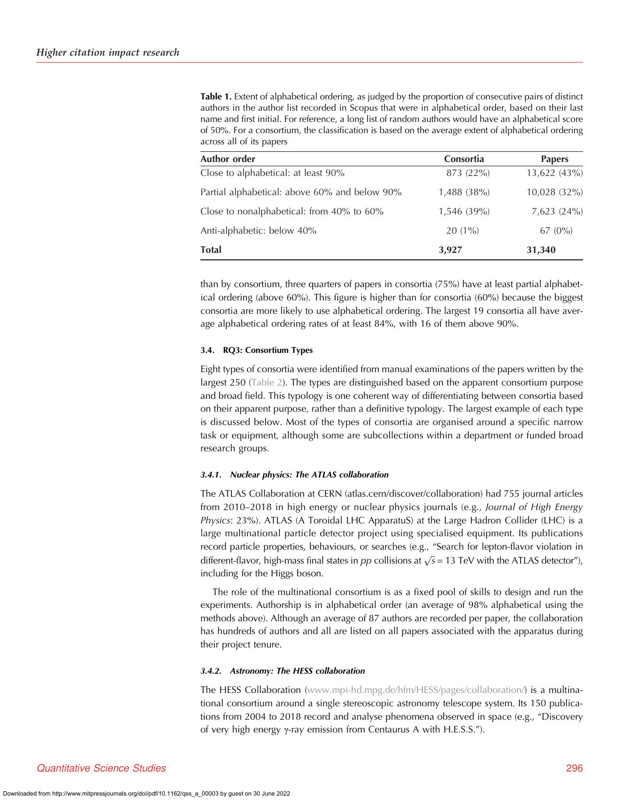<span id="page-6-0"></span>Table 1. Extent of alphabetical ordering, as judged by the proportion of consecutive pairs of distinct authors in the author list recorded in Scopus that were in alphabetical order, based on their last name and first initial. For reference, a long list of random authors would have an alphabetical score of 50%. For a consortium, the classification is based on the average extent of alphabetical ordering across all of its papers

| <b>Author order</b>                           | Consortia        | <b>Papers</b>  |
|-----------------------------------------------|------------------|----------------|
| Close to alphabetical: at least 90%           | 873 (22%)        | $13,622$ (43%) |
| Partial alphabetical: above 60% and below 90% | $1,488$ $(38\%)$ | 10,028 (32%)   |
| Close to nonalphabetical: from 40% to 60%     | $1,546(39\%)$    | 7,623(24%)     |
| Anti-alphabetic: below 40%                    | $20(1\%)$        | $67(0\%)$      |
| <b>Total</b>                                  | 3,927            | 31,340         |

than by consortium, three quarters of papers in consortia (75%) have at least partial alphabetical ordering (above 60%). This figure is higher than for consortia (60%) because the biggest consortia are more likely to use alphabetical ordering. The largest 19 consortia all have average alphabetical ordering rates of at least 84%, with 16 of them above 90%.

#### 3.4. RQ3: Consortium Types

Eight types of consortia were identified from manual examinations of the papers written by the largest 250 [\(Table 2](#page-7-0)). The types are distinguished based on the apparent consortium purpose and broad field. This typology is one coherent way of differentiating between consortia based on their apparent purpose, rather than a definitive typology. The largest example of each type is discussed below. Most of the types of consortia are organised around a specific narrow task or equipment, although some are subcollections within a department or funded broad research groups.

#### 3.4.1. Nuclear physics: The ATLAS collaboration

The ATLAS Collaboration at CERN (atlas.cern/discover/collaboration) had 755 journal articles from 2010–2018 in high energy or nuclear physics journals (e.g., Journal of High Energy Physics: 23%). ATLAS (A Toroidal LHC ApparatuS) at the Large Hadron Collider (LHC) is a large multinational particle detector project using specialised equipment. Its publications record particle properties, behaviours, or searches (e.g., "Search for lepton-flavor violation in record particle properties, behaviours, or searches (e.g., search for repton-havor violation in<br>different-flavor, high-mass final states in  $pp$  collisions at  $\sqrt{s} = 13$  TeV with the ATLAS detector"), including for the Higgs boson.

The role of the multinational consortium is as a fixed pool of skills to design and run the experiments. Authorship is in alphabetical order (an average of 98% alphabetical using the methods above). Although an average of 87 authors are recorded per paper, the collaboration has hundreds of authors and all are listed on all papers associated with the apparatus during their project tenure.

#### 3.4.2. Astronomy: The HESS collaboration

The HESS Collaboration ([www.mpi-hd.mpg.de/hfm/HESS/pages/collaboration/](https://www.mpi-hd.mpg.de/hfm/HESS/pages/collaboration/)) is a multinational consortium around a single stereoscopic astronomy telescope system. Its 150 publications from 2004 to 2018 record and analyse phenomena observed in space (e.g., "Discovery of very high energy γ-ray emission from Centaurus A with H.E.S.S.").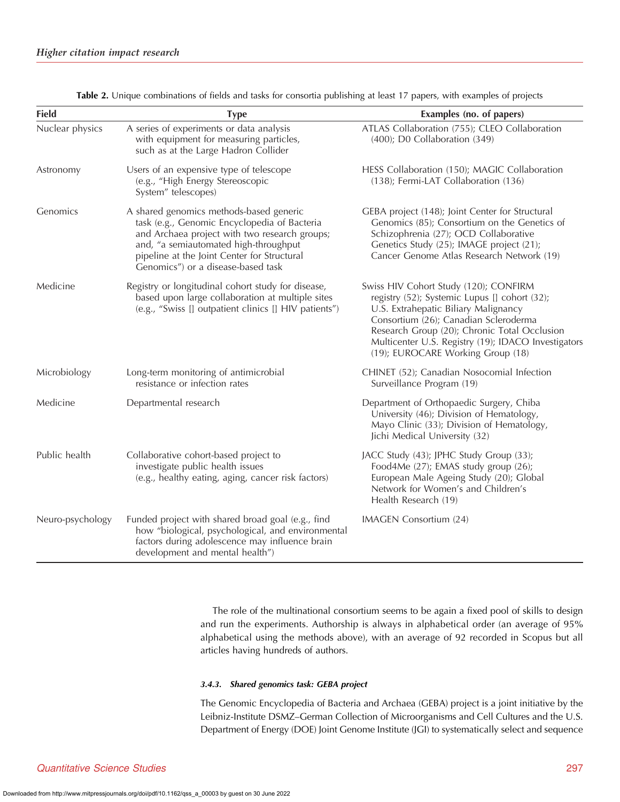<span id="page-7-0"></span>

| <b>Field</b>     | <b>Type</b>                                                                                                                                                                                                                                                            | Examples (no. of papers)                                                                                                                                                                                                                                                                                            |  |
|------------------|------------------------------------------------------------------------------------------------------------------------------------------------------------------------------------------------------------------------------------------------------------------------|---------------------------------------------------------------------------------------------------------------------------------------------------------------------------------------------------------------------------------------------------------------------------------------------------------------------|--|
| Nuclear physics  | A series of experiments or data analysis<br>with equipment for measuring particles,<br>such as at the Large Hadron Collider                                                                                                                                            | ATLAS Collaboration (755); CLEO Collaboration<br>(400); D0 Collaboration (349)                                                                                                                                                                                                                                      |  |
| Astronomy        | Users of an expensive type of telescope<br>(e.g., "High Energy Stereoscopic<br>System" telescopes)                                                                                                                                                                     | HESS Collaboration (150); MAGIC Collaboration<br>(138); Fermi-LAT Collaboration (136)                                                                                                                                                                                                                               |  |
| Genomics         | A shared genomics methods-based generic<br>task (e.g., Genomic Encyclopedia of Bacteria<br>and Archaea project with two research groups;<br>and, "a semiautomated high-throughput<br>pipeline at the Joint Center for Structural<br>Genomics") or a disease-based task | GEBA project (148); Joint Center for Structural<br>Genomics (85); Consortium on the Genetics of<br>Schizophrenia (27); OCD Collaborative<br>Genetics Study (25); IMAGE project (21);<br>Cancer Genome Atlas Research Network (19)                                                                                   |  |
| Medicine         | Registry or longitudinal cohort study for disease,<br>based upon large collaboration at multiple sites<br>(e.g., "Swiss [] outpatient clinics [] HIV patients")                                                                                                        | Swiss HIV Cohort Study (120); CONFIRM<br>registry (52); Systemic Lupus [] cohort (32);<br>U.S. Extrahepatic Biliary Malignancy<br>Consortium (26); Canadian Scleroderma<br>Research Group (20); Chronic Total Occlusion<br>Multicenter U.S. Registry (19); IDACO Investigators<br>(19); EUROCARE Working Group (18) |  |
| Microbiology     | Long-term monitoring of antimicrobial<br>resistance or infection rates                                                                                                                                                                                                 | CHINET (52); Canadian Nosocomial Infection<br>Surveillance Program (19)                                                                                                                                                                                                                                             |  |
| Medicine         | Departmental research                                                                                                                                                                                                                                                  | Department of Orthopaedic Surgery, Chiba<br>University (46); Division of Hematology,<br>Mayo Clinic (33); Division of Hematology,<br>Jichi Medical University (32)                                                                                                                                                  |  |
| Public health    | Collaborative cohort-based project to<br>investigate public health issues<br>(e.g., healthy eating, aging, cancer risk factors)                                                                                                                                        | JACC Study (43); JPHC Study Group (33);<br>Food4Me (27); EMAS study group (26);<br>European Male Ageing Study (20); Global<br>Network for Women's and Children's<br>Health Research (19)                                                                                                                            |  |
| Neuro-psychology | Funded project with shared broad goal (e.g., find<br>how "biological, psychological, and environmental<br>factors during adolescence may influence brain<br>development and mental health")                                                                            | IMAGEN Consortium (24)                                                                                                                                                                                                                                                                                              |  |

Table 2. Unique combinations of fields and tasks for consortia publishing at least 17 papers, with examples of projects

The role of the multinational consortium seems to be again a fixed pool of skills to design and run the experiments. Authorship is always in alphabetical order (an average of 95% alphabetical using the methods above), with an average of 92 recorded in Scopus but all articles having hundreds of authors.

#### 3.4.3. Shared genomics task: GEBA project

The Genomic Encyclopedia of Bacteria and Archaea (GEBA) project is a joint initiative by the Leibniz-Institute DSMZ–German Collection of Microorganisms and Cell Cultures and the U.S. Department of Energy (DOE) Joint Genome Institute (JGI) to systematically select and sequence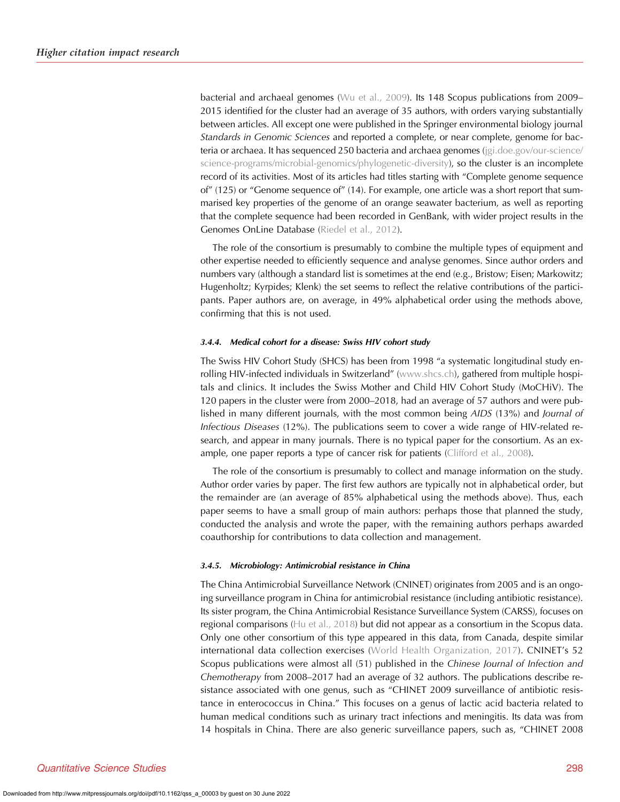bacterial and archaeal genomes ([Wu et al., 2009](#page-12-0)). Its 148 Scopus publications from 2009– 2015 identified for the cluster had an average of 35 authors, with orders varying substantially between articles. All except one were published in the Springer environmental biology journal Standards in Genomic Sciences and reported a complete, or near complete, genome for bacteria or archaea. It has sequenced 250 bacteria and archaea genomes [\(jgi.doe.gov/our-science/](http://jgi.doe.gov/our-science/science-programs/microbial-genomics/phylogenetic-diversity) [science-programs/microbial-genomics/phylogenetic-diversity](http://jgi.doe.gov/our-science/science-programs/microbial-genomics/phylogenetic-diversity)), so the cluster is an incomplete record of its activities. Most of its articles had titles starting with "Complete genome sequence of" (125) or "Genome sequence of" (14). For example, one article was a short report that summarised key properties of the genome of an orange seawater bacterium, as well as reporting that the complete sequence had been recorded in GenBank, with wider project results in the Genomes OnLine Database ([Riedel et al., 2012](#page-12-0)).

The role of the consortium is presumably to combine the multiple types of equipment and other expertise needed to efficiently sequence and analyse genomes. Since author orders and numbers vary (although a standard list is sometimes at the end (e.g., Bristow; Eisen; Markowitz; Hugenholtz; Kyrpides; Klenk) the set seems to reflect the relative contributions of the participants. Paper authors are, on average, in 49% alphabetical order using the methods above, confirming that this is not used.

#### 3.4.4. Medical cohort for a disease: Swiss HIV cohort study

The Swiss HIV Cohort Study (SHCS) has been from 1998 "a systematic longitudinal study enrolling HIV-infected individuals in Switzerland" ([www.shcs.ch\)](http://www.shcs.ch), gathered from multiple hospitals and clinics. It includes the Swiss Mother and Child HIV Cohort Study (MoCHiV). The 120 papers in the cluster were from 2000–2018, had an average of 57 authors and were published in many different journals, with the most common being AIDS (13%) and Journal of Infectious Diseases (12%). The publications seem to cover a wide range of HIV-related research, and appear in many journals. There is no typical paper for the consortium. As an ex-ample, one paper reports a type of cancer risk for patients ([Clifford et al., 2008\)](#page-11-0).

The role of the consortium is presumably to collect and manage information on the study. Author order varies by paper. The first few authors are typically not in alphabetical order, but the remainder are (an average of 85% alphabetical using the methods above). Thus, each paper seems to have a small group of main authors: perhaps those that planned the study, conducted the analysis and wrote the paper, with the remaining authors perhaps awarded coauthorship for contributions to data collection and management.

#### 3.4.5. Microbiology: Antimicrobial resistance in China

The China Antimicrobial Surveillance Network (CNINET) originates from 2005 and is an ongoing surveillance program in China for antimicrobial resistance (including antibiotic resistance). Its sister program, the China Antimicrobial Resistance Surveillance System (CARSS), focuses on regional comparisons ([Hu et al., 2018\)](#page-12-0) but did not appear as a consortium in the Scopus data. Only one other consortium of this type appeared in this data, from Canada, despite similar international data collection exercises ([World Health Organization, 2017\)](#page-12-0). CNINET's 52 Scopus publications were almost all (51) published in the Chinese Journal of Infection and Chemotherapy from 2008–2017 had an average of 32 authors. The publications describe resistance associated with one genus, such as "CHINET 2009 surveillance of antibiotic resistance in enterococcus in China." This focuses on a genus of lactic acid bacteria related to human medical conditions such as urinary tract infections and meningitis. Its data was from 14 hospitals in China. There are also generic surveillance papers, such as, "CHINET 2008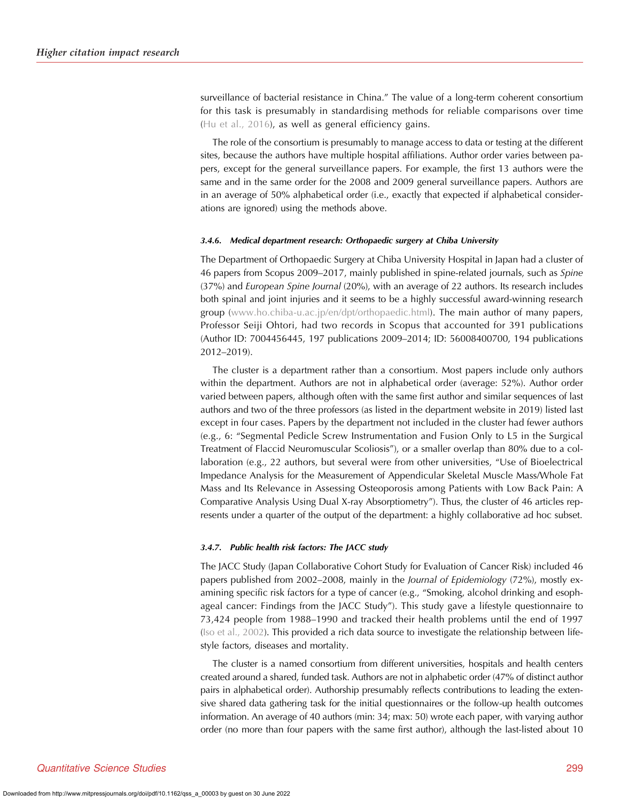surveillance of bacterial resistance in China." The value of a long-term coherent consortium for this task is presumably in standardising methods for reliable comparisons over time ([Hu et al., 2016\)](#page-12-0), as well as general efficiency gains.

The role of the consortium is presumably to manage access to data or testing at the different sites, because the authors have multiple hospital affiliations. Author order varies between papers, except for the general surveillance papers. For example, the first 13 authors were the same and in the same order for the 2008 and 2009 general surveillance papers. Authors are in an average of 50% alphabetical order (i.e., exactly that expected if alphabetical considerations are ignored) using the methods above.

#### 3.4.6. Medical department research: Orthopaedic surgery at Chiba University

The Department of Orthopaedic Surgery at Chiba University Hospital in Japan had a cluster of 46 papers from Scopus 2009–2017, mainly published in spine-related journals, such as Spine (37%) and European Spine Journal (20%), with an average of 22 authors. Its research includes both spinal and joint injuries and it seems to be a highly successful award-winning research group [\(www.ho.chiba-u.ac.jp/en/dpt/orthopaedic.html\)](http://www.ho.chiba-u.ac.jp/en/dpt/orthopaedic.html). The main author of many papers, Professor Seiji Ohtori, had two records in Scopus that accounted for 391 publications (Author ID: 7004456445, 197 publications 2009–2014; ID: 56008400700, 194 publications 2012–2019).

The cluster is a department rather than a consortium. Most papers include only authors within the department. Authors are not in alphabetical order (average: 52%). Author order varied between papers, although often with the same first author and similar sequences of last authors and two of the three professors (as listed in the department website in 2019) listed last except in four cases. Papers by the department not included in the cluster had fewer authors (e.g., 6: "Segmental Pedicle Screw Instrumentation and Fusion Only to L5 in the Surgical Treatment of Flaccid Neuromuscular Scoliosis"), or a smaller overlap than 80% due to a collaboration (e.g., 22 authors, but several were from other universities, "Use of Bioelectrical Impedance Analysis for the Measurement of Appendicular Skeletal Muscle Mass/Whole Fat Mass and Its Relevance in Assessing Osteoporosis among Patients with Low Back Pain: A Comparative Analysis Using Dual X-ray Absorptiometry"). Thus, the cluster of 46 articles represents under a quarter of the output of the department: a highly collaborative ad hoc subset.

#### 3.4.7. Public health risk factors: The JACC study

The JACC Study (Japan Collaborative Cohort Study for Evaluation of Cancer Risk) included 46 papers published from 2002–2008, mainly in the Journal of Epidemiology (72%), mostly examining specific risk factors for a type of cancer (e.g., "Smoking, alcohol drinking and esophageal cancer: Findings from the JACC Study"). This study gave a lifestyle questionnaire to 73,424 people from 1988–1990 and tracked their health problems until the end of 1997 ([Iso et al., 2002\)](#page-12-0). This provided a rich data source to investigate the relationship between lifestyle factors, diseases and mortality.

The cluster is a named consortium from different universities, hospitals and health centers created around a shared, funded task. Authors are not in alphabetic order (47% of distinct author pairs in alphabetical order). Authorship presumably reflects contributions to leading the extensive shared data gathering task for the initial questionnaires or the follow-up health outcomes information. An average of 40 authors (min: 34; max: 50) wrote each paper, with varying author order (no more than four papers with the same first author), although the last-listed about 10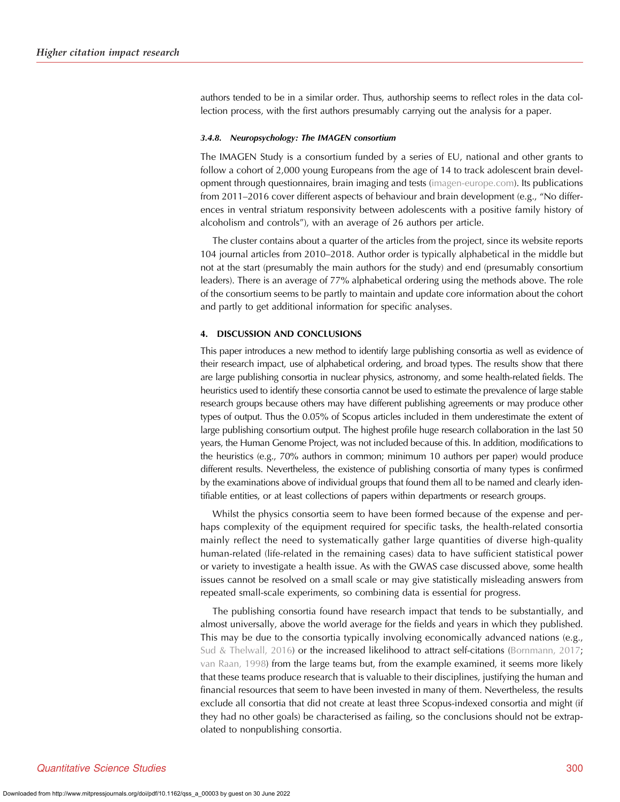authors tended to be in a similar order. Thus, authorship seems to reflect roles in the data collection process, with the first authors presumably carrying out the analysis for a paper.

#### 3.4.8. Neuropsychology: The IMAGEN consortium

The IMAGEN Study is a consortium funded by a series of EU, national and other grants to follow a cohort of 2,000 young Europeans from the age of 14 to track adolescent brain development through questionnaires, brain imaging and tests [\(imagen-europe.com\)](http://imagen-europe.com). Its publications from 2011–2016 cover different aspects of behaviour and brain development (e.g., "No differences in ventral striatum responsivity between adolescents with a positive family history of alcoholism and controls"), with an average of 26 authors per article.

The cluster contains about a quarter of the articles from the project, since its website reports 104 journal articles from 2010–2018. Author order is typically alphabetical in the middle but not at the start (presumably the main authors for the study) and end (presumably consortium leaders). There is an average of 77% alphabetical ordering using the methods above. The role of the consortium seems to be partly to maintain and update core information about the cohort and partly to get additional information for specific analyses.

#### 4. DISCUSSION AND CONCLUSIONS

This paper introduces a new method to identify large publishing consortia as well as evidence of their research impact, use of alphabetical ordering, and broad types. The results show that there are large publishing consortia in nuclear physics, astronomy, and some health-related fields. The heuristics used to identify these consortia cannot be used to estimate the prevalence of large stable research groups because others may have different publishing agreements or may produce other types of output. Thus the 0.05% of Scopus articles included in them underestimate the extent of large publishing consortium output. The highest profile huge research collaboration in the last 50 years, the Human Genome Project, was not included because of this. In addition, modifications to the heuristics (e.g., 70% authors in common; minimum 10 authors per paper) would produce different results. Nevertheless, the existence of publishing consortia of many types is confirmed by the examinations above of individual groups that found them all to be named and clearly identifiable entities, or at least collections of papers within departments or research groups.

Whilst the physics consortia seem to have been formed because of the expense and perhaps complexity of the equipment required for specific tasks, the health-related consortia mainly reflect the need to systematically gather large quantities of diverse high-quality human-related (life-related in the remaining cases) data to have sufficient statistical power or variety to investigate a health issue. As with the GWAS case discussed above, some health issues cannot be resolved on a small scale or may give statistically misleading answers from repeated small-scale experiments, so combining data is essential for progress.

The publishing consortia found have research impact that tends to be substantially, and almost universally, above the world average for the fields and years in which they published. This may be due to the consortia typically involving economically advanced nations (e.g., [Sud & Thelwall, 2016\)](#page-12-0) or the increased likelihood to attract self-citations [\(Bornmann, 2017](#page-11-0); [van Raan, 1998\)](#page-12-0) from the large teams but, from the example examined, it seems more likely that these teams produce research that is valuable to their disciplines, justifying the human and financial resources that seem to have been invested in many of them. Nevertheless, the results exclude all consortia that did not create at least three Scopus-indexed consortia and might (if they had no other goals) be characterised as failing, so the conclusions should not be extrapolated to nonpublishing consortia.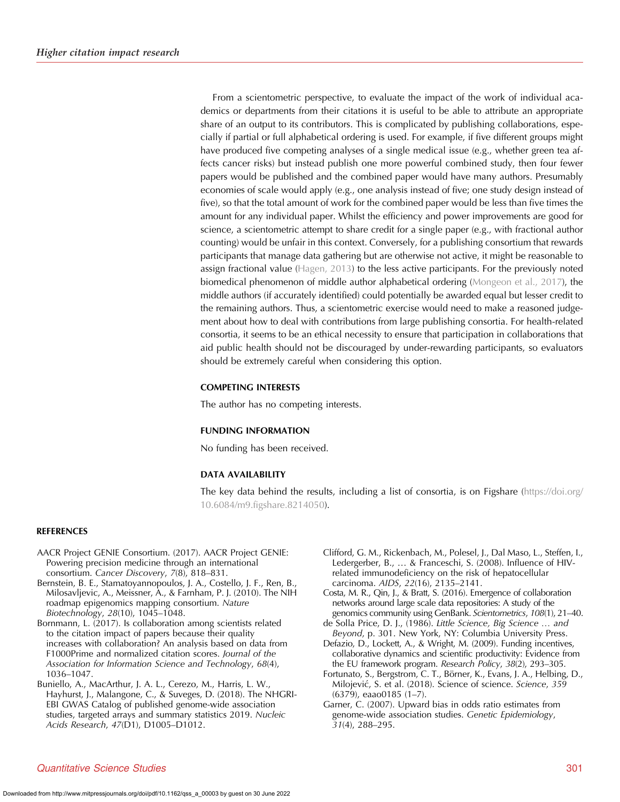<span id="page-11-0"></span>From a scientometric perspective, to evaluate the impact of the work of individual academics or departments from their citations it is useful to be able to attribute an appropriate share of an output to its contributors. This is complicated by publishing collaborations, especially if partial or full alphabetical ordering is used. For example, if five different groups might have produced five competing analyses of a single medical issue (e.g., whether green tea affects cancer risks) but instead publish one more powerful combined study, then four fewer papers would be published and the combined paper would have many authors. Presumably economies of scale would apply (e.g., one analysis instead of five; one study design instead of five), so that the total amount of work for the combined paper would be less than five times the amount for any individual paper. Whilst the efficiency and power improvements are good for science, a scientometric attempt to share credit for a single paper (e.g., with fractional author counting) would be unfair in this context. Conversely, for a publishing consortium that rewards participants that manage data gathering but are otherwise not active, it might be reasonable to assign fractional value [\(Hagen, 2013](#page-12-0)) to the less active participants. For the previously noted biomedical phenomenon of middle author alphabetical ordering ([Mongeon et al., 2017](#page-12-0)), the middle authors (if accurately identified) could potentially be awarded equal but lesser credit to the remaining authors. Thus, a scientometric exercise would need to make a reasoned judgement about how to deal with contributions from large publishing consortia. For health-related consortia, it seems to be an ethical necessity to ensure that participation in collaborations that aid public health should not be discouraged by under-rewarding participants, so evaluators should be extremely careful when considering this option.

#### COMPETING INTERESTS

The author has no competing interests.

#### FUNDING INFORMATION

No funding has been received.

#### DATA AVAILABILITY

The key data behind the results, including a list of consortia, is on Figshare ([https://doi.org/](https://doi.org/10.6084/m9.figshare.8214050) [10.6084/m9.figshare.8214050\)](https://doi.org/10.6084/m9.figshare.8214050).

#### REFERENCES

- AACR Project GENIE Consortium. (2017). AACR Project GENIE: Powering precision medicine through an international consortium. Cancer Discovery, 7(8), 818–831.
- Bernstein, B. E., Stamatoyannopoulos, J. A., Costello, J. F., Ren, B., Milosavljevic, A., Meissner, A., & Farnham, P. J. (2010). The NIH roadmap epigenomics mapping consortium. Nature Biotechnology, 28(10), 1045–1048.
- Bornmann, L. (2017). Is collaboration among scientists related to the citation impact of papers because their quality increases with collaboration? An analysis based on data from F1000Prime and normalized citation scores. Journal of the Association for Information Science and Technology, 68(4), 1036–1047.
- Buniello, A., MacArthur, J. A. L., Cerezo, M., Harris, L. W., Hayhurst, J., Malangone, C., & Suveges, D. (2018). The NHGRI-EBI GWAS Catalog of published genome-wide association studies, targeted arrays and summary statistics 2019. Nucleic Acids Research, 47(D1), D1005-D1012.
- Clifford, G. M., Rickenbach, M., Polesel, J., Dal Maso, L., Steffen, I., Ledergerber, B., … & Franceschi, S. (2008). Influence of HIVrelated immunodeficiency on the risk of hepatocellular carcinoma. AIDS, 22(16), 2135–2141.
- Costa, M. R., Qin, J., & Bratt, S. (2016). Emergence of collaboration networks around large scale data repositories: A study of the genomics community using GenBank. Scientometrics, 108(1), 21–40.
- de Solla Price, D. J., (1986). Little Science, Big Science … and Beyond, p. 301. New York, NY: Columbia University Press.
- Defazio, D., Lockett, A., & Wright, M. (2009). Funding incentives, collaborative dynamics and scientific productivity: Evidence from the EU framework program. Research Policy, 38(2), 293–305.
- Fortunato, S., Bergstrom, C. T., Börner, K., Evans, J. A., Helbing, D., Milojević, S. et al. (2018). Science of science. Science, 359 (6379), eaao0185 (1–7).
- Garner, C. (2007). Upward bias in odds ratio estimates from genome-wide association studies. Genetic Epidemiology, 31(4), 288–295.